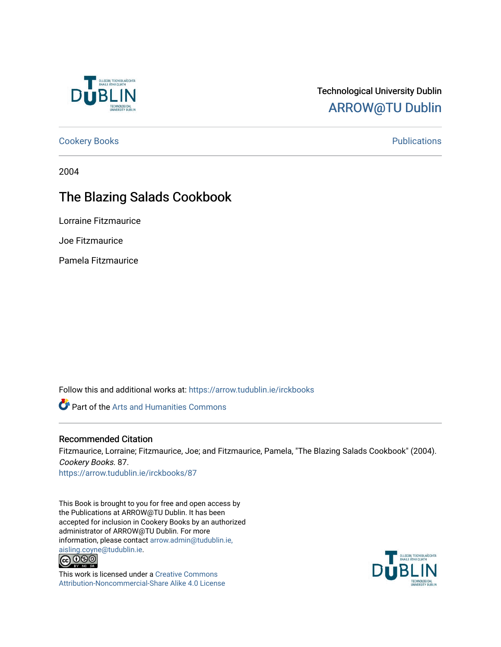

## Technological University Dublin [ARROW@TU Dublin](https://arrow.tudublin.ie/)

[Cookery Books](https://arrow.tudublin.ie/irckbooks) **Publications** 

2004

## The Blazing Salads Cookbook

Lorraine Fitzmaurice

Joe Fitzmaurice

Pamela Fitzmaurice

Follow this and additional works at: [https://arrow.tudublin.ie/irckbooks](https://arrow.tudublin.ie/irckbooks?utm_source=arrow.tudublin.ie%2Firckbooks%2F87&utm_medium=PDF&utm_campaign=PDFCoverPages)

Part of the [Arts and Humanities Commons](http://network.bepress.com/hgg/discipline/438?utm_source=arrow.tudublin.ie%2Firckbooks%2F87&utm_medium=PDF&utm_campaign=PDFCoverPages) 

#### Recommended Citation

Fitzmaurice, Lorraine; Fitzmaurice, Joe; and Fitzmaurice, Pamela, "The Blazing Salads Cookbook" (2004). Cookery Books. 87. [https://arrow.tudublin.ie/irckbooks/87](https://arrow.tudublin.ie/irckbooks/87?utm_source=arrow.tudublin.ie%2Firckbooks%2F87&utm_medium=PDF&utm_campaign=PDFCoverPages) 

This Book is brought to you for free and open access by the Publications at ARROW@TU Dublin. It has been accepted for inclusion in Cookery Books by an authorized administrator of ARROW@TU Dublin. For more information, please contact [arrow.admin@tudublin.ie,](mailto:arrow.admin@tudublin.ie,%20aisling.coyne@tudublin.ie)  [aisling.coyne@tudublin.ie.](mailto:arrow.admin@tudublin.ie,%20aisling.coyne@tudublin.ie)<br>  $\bigodot$  0 9 0



This work is licensed under a [Creative Commons](http://creativecommons.org/licenses/by-nc-sa/4.0/) [Attribution-Noncommercial-Share Alike 4.0 License](http://creativecommons.org/licenses/by-nc-sa/4.0/)

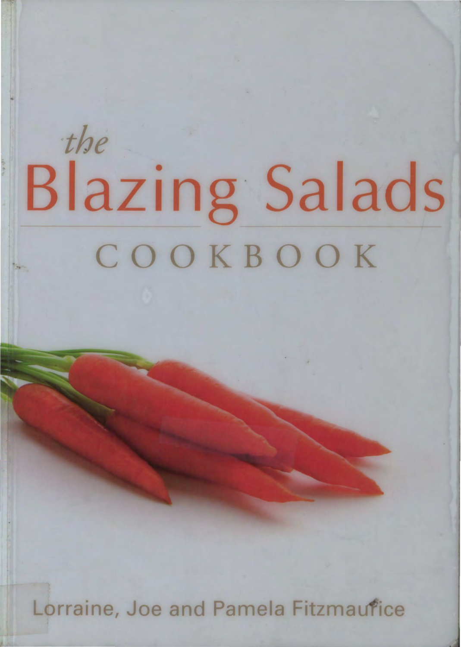# *the*  Blazing Salads **COOKBOOK**

..

Lorraine, Joe and Pamela Fitzmaufice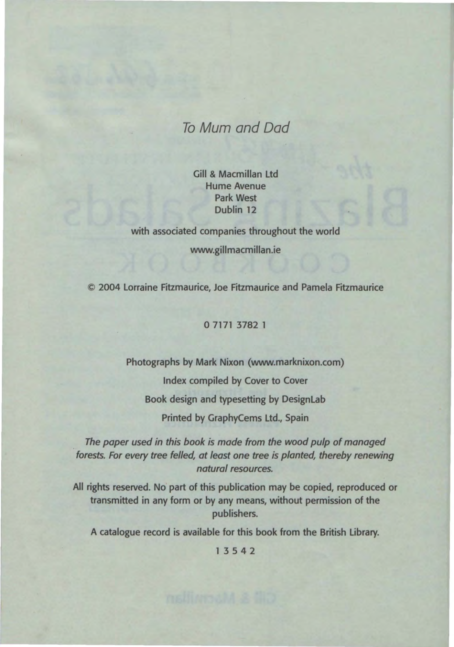### To Mum and Dad

Gill & Macmillan Ltd Hume Avenue Park West Dublin 12

with associated companies throughout the world www.gillmacmillan.ie

© 2004 Lorraine Fitzmaurice, Joe Fitzmaurice and Pamela Fitzmaurice

#### 0 7171 3782 1

Photographs by Mark Nixon (www.marknixon.com) Index compiled by Cover to Cover Book design and typesetting by DesignLab Printed by GraphyCems Ltd., Spain

The paper used in this book is made from the wood pulp of managed forests. For every tree felled, at least one tree is planted, thereby renewing natural resources.

All rights reserved. No part of this publication may be copied, reproduced or transmitted in any form or by any means, without permission of the publishers.

A catalogue record is available for this book from the British Library.

1 3 54 2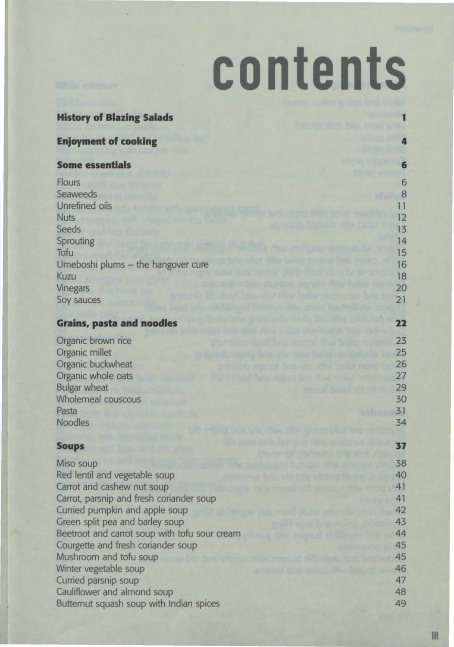# **contents**

| <b>History of Blazing Salads</b>              |          |
|-----------------------------------------------|----------|
|                                               |          |
| <b>Enjoyment of cooking</b>                   | 4        |
|                                               |          |
| <b>Some essentials</b>                        | 6        |
| <b>Flours</b>                                 | 6        |
| <b>Seaweeds</b>                               | 8        |
| Unrefined oils                                | 11       |
| <b>Nuts</b>                                   | 12       |
| Seeds                                         | 13       |
| Sprouting                                     | 14       |
| Tofu                                          | 15       |
| Umeboshi plums - the hangover cure            | 16       |
| Kuzu                                          | 18       |
| <b>Vinegars</b>                               | 20       |
| Soy sauces                                    | 21       |
| <b>Grains, pasta and noodles</b>              | 22       |
|                                               |          |
| Organic brown rice                            | 23       |
| Organic millet                                | 25       |
| Organic buckwheat                             | 26       |
| Organic whole oats<br><b>Bulgar wheat</b>     | 27<br>29 |
| Wholemeal couscous                            | 30       |
| Pasta                                         | 31       |
| <b>Noodles</b>                                | 34       |
|                                               |          |
| <b>Soups</b>                                  | 37       |
| Miso soup                                     | 38       |
| Red lentil and vegetable soup                 | 40       |
| Carrot and cashew nut soup                    | 41       |
| Carrot, parsnip and fresh coriander soup      | 41       |
| Curried pumpkin and apple soup                | 42       |
| Green split pea and barley soup               | 43       |
| Beetroot and carrot soup with tofu sour cream | 44       |
| Courgette and fresh coriander soup            | 45       |
| Mushroom and tofu soup                        | 45       |
| Winter vegetable soup<br>Curried parsnip soup | 46<br>47 |
| Cauliflower and almond soup                   | 48       |
| Butternut squash soup with Indian spices      | 49       |
|                                               |          |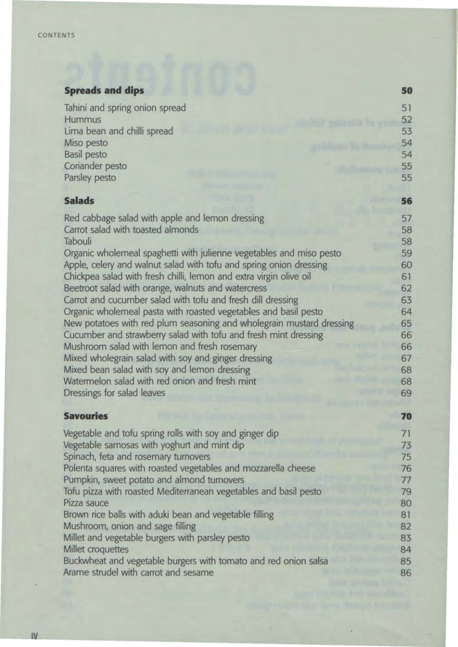### **Spreads and dips**

| Tahini and spring onion spread                                       | 51 |
|----------------------------------------------------------------------|----|
| Hummus                                                               | 52 |
| Lima bean and chilli spread                                          | 53 |
| Miso pesto                                                           | 54 |
| <b>Basil pesto</b>                                                   | 54 |
| Coriander pesto                                                      | 55 |
| Parsley pesto                                                        | 55 |
| <b>Salads</b>                                                        | 56 |
| Red cabbage salad with apple and lemon dressing                      | 57 |
| Carrot salad with toasted almonds                                    | 58 |
| Tabouli                                                              | 58 |
| Organic wholemeal spaghetti with julienne vegetables and miso pesto  | 59 |
| Apple, celery and walnut salad with tofu and spring onion dressing   | 60 |
| Chickpea salad with fresh chilli, lemon and extra virgin olive oil   | 61 |
| Beetroot salad with orange, walnuts and watercress                   | 62 |
| Carrot and cucumber salad with tofu and fresh dill dressing          | 63 |
| Organic wholemeal pasta with roasted vegetables and basil pesto      | 64 |
| New potatoes with red plum seasoning and wholegrain mustard dressing | 65 |
| Cucumber and strawberry salad with tofu and fresh mint dressing      | 66 |
| Mushroom salad with lemon and fresh rosemary                         | 66 |
| Mixed wholegrain salad with soy and ginger dressing                  | 67 |
| Mixed bean salad with soy and lemon dressing                         | 68 |
| Watermelon salad with red onion and fresh mint                       | 68 |
| Dressings for salad leaves                                           | 69 |
| <b>Savouries</b>                                                     | 70 |
| Vegetable and tofu spring rolls with soy and ginger dip              | 71 |
| Vegetable samosas with yoghurt and mint dip                          | 73 |
| Spinach, feta and rosemary turnovers                                 | 75 |
| Polenta squares with roasted vegetables and mozzarella cheese        | 76 |
| Pumpkin, sweet potato and almond turnovers                           | 77 |
| Tofu pizza with roasted Mediterranean vegetables and basil pesto     | 79 |
| Pizza sauce                                                          | 80 |
| Brown rice balls with aduki bean and vegetable filling               | 81 |
| Mushroom, onion and sage filling                                     | 82 |
| Millet and vegetable burgers with parsley pesto                      | 83 |
| Millet croquettes                                                    | 84 |
| Buckwheat and vegetable burgers with tomato and red onion salsa      | 85 |
| Arame strudel with carrot and sesame                                 | 86 |

**50**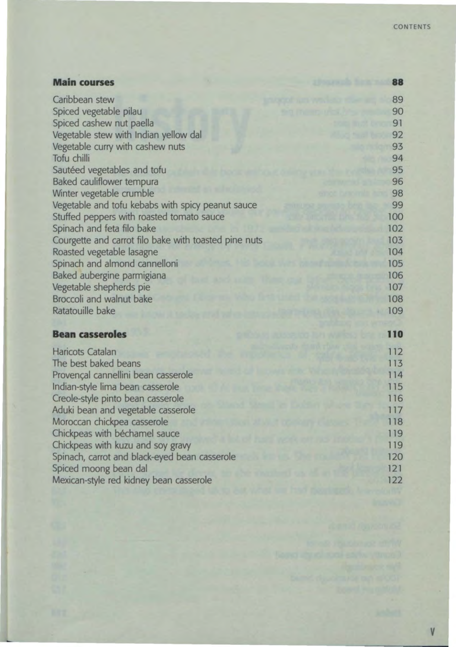| <b>Main courses</b>                                   |  | 88  |
|-------------------------------------------------------|--|-----|
| Caribbean stew                                        |  | 89  |
| Spiced vegetable pilau                                |  | 90  |
| Spiced cashew nut paella                              |  | 91  |
| Vegetable stew with Indian yellow dal                 |  | 92  |
| Vegetable curry with cashew nuts                      |  | 93  |
| Tofu chilli                                           |  | 94  |
| Sautéed vegetables and tofu                           |  | 95  |
| Baked cauliflower tempura                             |  | 96  |
| Winter vegetable crumble                              |  | 98  |
| Vegetable and tofu kebabs with spicy peanut sauce     |  | 99  |
| Stuffed peppers with roasted tomato sauce             |  | 100 |
| Spinach and feta filo bake                            |  | 102 |
| Courgette and carrot filo bake with toasted pine nuts |  | 103 |
| Roasted vegetable lasagne                             |  | 104 |
| Spinach and almond cannelloni                         |  | 105 |
| Baked aubergine parmigiana                            |  | 106 |
| Vegetable shepherds pie                               |  | 107 |
| Broccoli and walnut bake                              |  | 108 |
| Ratatouille bake                                      |  | 109 |
|                                                       |  |     |
| <b>Bean casseroles</b>                                |  | 110 |
| Haricots Catalan                                      |  | 112 |
| The best baked beans                                  |  | 113 |
| Provençal cannellini bean casserole                   |  | 114 |
| Indian-style lima bean casserole                      |  | 115 |
| Creole-style pinto bean casserole                     |  | 116 |

Aduki bean and vegetable casserole Moroccan chickpea casserole Chickpeas with bechamel sauce Chickpeas with kuzu and soy gravy

Spiced moong bean dal

Spinach, carrot and black-eyed bean casserole

Mexican-style red kidney bean casserole

v